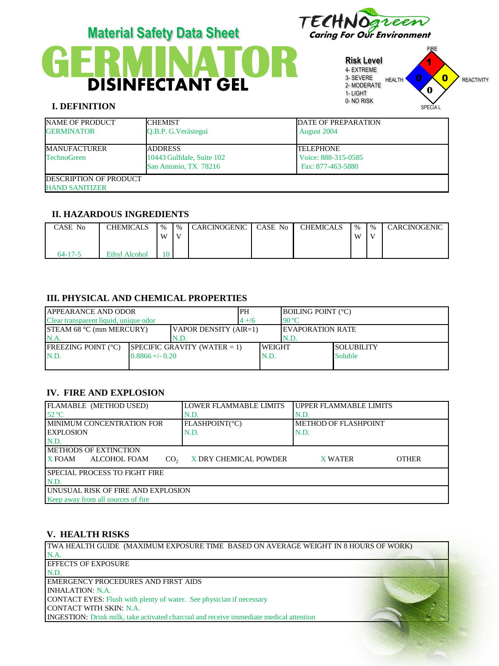



**Risk Level** 4- EXTREME 3- SEVERE 2- MODERATE 1- LIGHT 0- NO RISK 0



# **I. DEFINITION**

| <b>NAME OF PRODUCT</b><br><b>GERMINATOR</b>             | <b>ICHEMIST</b><br>O.B.P. G. Verástegui                               | <b>DATE OF PREPARATION</b><br>August 2004              |
|---------------------------------------------------------|-----------------------------------------------------------------------|--------------------------------------------------------|
| <b>MANUFACTURER</b><br><b>TechnoGreen</b>               | <b>JADDRESS</b><br>10443 Gulfdale, Suite 102<br>San Antonio, TX 78216 | ITELEPHONE<br>Voice: 888-315-0585<br>Fax: 877-463-5880 |
| <b>IDESCRIPTION OF PRODUCT</b><br><b>HAND SANITIZER</b> |                                                                       |                                                        |

# **II. HAZARDOUS INGREDIENTS**

| CASE No       | CHEMICALS            | $\frac{0}{6}$<br>W | $\%$ | <b>CARCINOGENIC</b> | CASE No | CHEMICALS | $\frac{9}{6}$<br>W | $\%$<br>$\mathbf{V}$ | CARCINOGENIC |
|---------------|----------------------|--------------------|------|---------------------|---------|-----------|--------------------|----------------------|--------------|
| $64 - 17 - 5$ | <b>Ethyl Alcohol</b> | 10                 |      |                     |         |           |                    |                      |              |

# **III. PHYSICAL AND CHEMICAL PROPERTIES**

| <b>JAPPEARANCE AND ODOR</b>                              |                    |                                 | <b>IPH</b> |               | <b>BOILING POINT (°C)</b> |                   |  |
|----------------------------------------------------------|--------------------|---------------------------------|------------|---------------|---------------------------|-------------------|--|
| Clear transparent liquid, unique odor                    |                    |                                 | $4 + 16$   |               | $90^{\circ}$ C            |                   |  |
| VAPOR DENSITY (AIR=1)<br><b>STEAM 68 °C (mm MERCURY)</b> |                    |                                 |            |               | <b>IEVAPORATION RATE</b>  |                   |  |
| N.A<br>N.D.                                              |                    |                                 |            |               | N.D.                      |                   |  |
| <b>IFREEZING POINT (°C)</b>                              |                    | SPECIFIC GRAVITY (WATER $= 1$ ) |            | <b>WEIGHT</b> |                           | <b>SOLUBILITY</b> |  |
| N.D.                                                     | $0.8866 + (-0.20)$ |                                 |            | N.D.          |                           | Soluble           |  |
|                                                          |                    |                                 |            |               |                           |                   |  |

# **IV. FIRE AND EXPLOSION**

| FLAMABLE (METHOD USED)                    | LOWER FLAMMABLE LIMITS | UPPER FLAMMABLE LIMITS |              |  |  |  |
|-------------------------------------------|------------------------|------------------------|--------------|--|--|--|
| $52^{\circ}$ C                            | N.D.                   | N.D.                   |              |  |  |  |
| <b>IMINIMUM CONCENTRATION FOR</b>         | FLASHPOINT(°C)         | METHOD OF FLASHPOINT   |              |  |  |  |
| <b>LEXPLOSION</b>                         | N.D.                   | N.D.                   |              |  |  |  |
| N.D.                                      |                        |                        |              |  |  |  |
| <b>IMETHODS OF EXTINCTION</b>             |                        |                        |              |  |  |  |
| X FOAM<br>ALCOHOL FOAM<br>CO <sub>2</sub> | X DRY CHEMICAL POWDER  | <b>X WATER</b>         | <b>OTHER</b> |  |  |  |
| <b>SPECIAL PROCESS TO FIGHT FIRE</b>      |                        |                        |              |  |  |  |
| N.D.                                      |                        |                        |              |  |  |  |
| UNUSUAL RISK OF FIRE AND EXPLOSION        |                        |                        |              |  |  |  |
| Keep away from all sources of fire        |                        |                        |              |  |  |  |

# **V. HEALTH RISKS**

TWA HEALTH GUIDE (MAXIMUM EXPOSURE TIME BASED ON AVERAGE WEIGHT IN 8 HOURS OF WORK) N.A. EFFECTS OF EXPOSURE N.D. EMERGENCY PROCEDURES AND FIRST AIDS INHALATION: N.A. CONTACT EYES: Flush with plenty of water. See physician if necessary CONTACT WITH SKIN: N.A. INGESTION: Drink milk, take activated charcoal and receive immediate medical attention